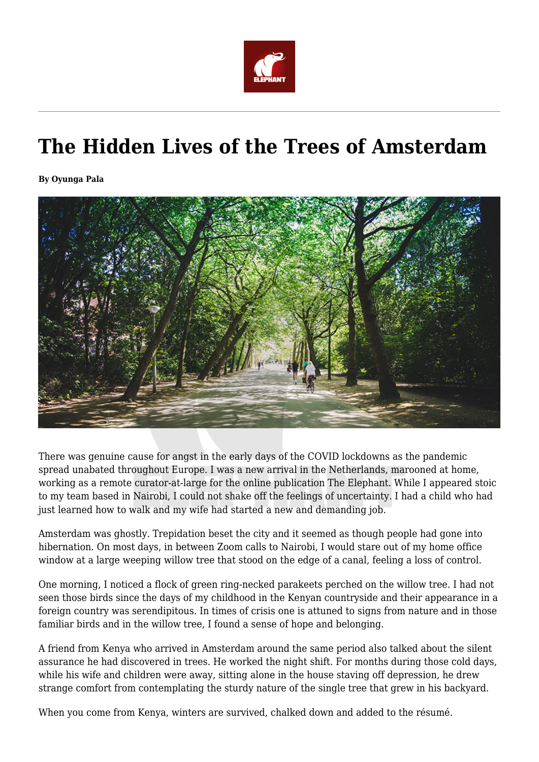

## **The Hidden Lives of the Trees of Amsterdam**

**By Oyunga Pala**



There was genuine cause for angst in the early days of the COVID lockdowns as the pandemic spread unabated throughout Europe. I was a new arrival in the Netherlands, marooned at home, working as a remote curator-at-large for the online publication The Elephant. While I appeared stoic to my team based in Nairobi, I could not shake off the feelings of uncertainty. I had a child who had just learned how to walk and my wife had started a new and demanding job.

Amsterdam was ghostly. Trepidation beset the city and it seemed as though people had gone into hibernation. On most days, in between Zoom calls to Nairobi, I would stare out of my home office window at a large weeping willow tree that stood on the edge of a canal, feeling a loss of control.

One morning, I noticed a flock of green ring-necked parakeets perched on the willow tree. I had not seen those birds since the days of my childhood in the Kenyan countryside and their appearance in a foreign country was serendipitous. In times of crisis one is attuned to signs from nature and in those familiar birds and in the willow tree, I found a sense of hope and belonging.

A friend from Kenya who arrived in Amsterdam around the same period also talked about the silent assurance he had discovered in trees. He worked the night shift. For months during those cold days, while his wife and children were away, sitting alone in the house staving off depression, he drew strange comfort from contemplating the sturdy nature of the single tree that grew in his backyard.

When you come from Kenya, winters are survived, chalked down and added to the résumé.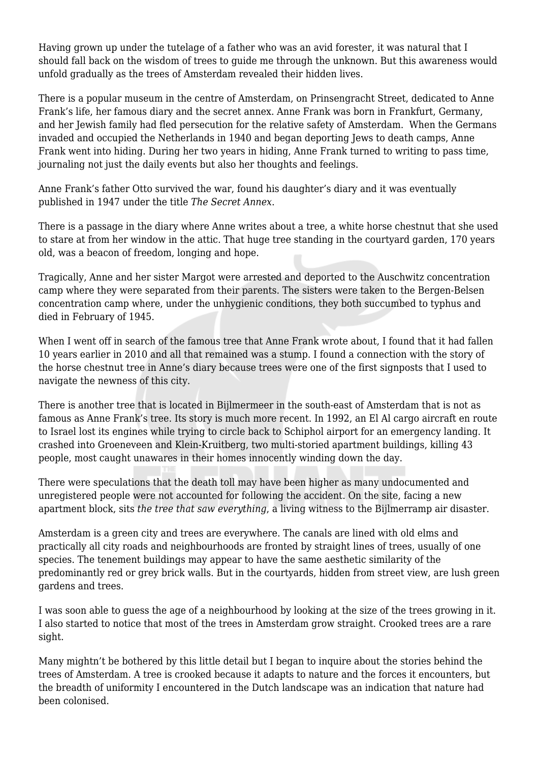Having grown up under the tutelage of a father who was an avid forester, it was natural that I should fall back on the wisdom of trees to guide me through the unknown. But this awareness would unfold gradually as the trees of Amsterdam revealed their hidden lives.

There is a popular museum in the centre of Amsterdam, on Prinsengracht Street, dedicated to Anne Frank's life, her famous diary and the secret annex. Anne Frank was born in Frankfurt, Germany, and her Jewish family had fled persecution for the relative safety of Amsterdam. When the Germans invaded and occupied the Netherlands in 1940 and began deporting Jews to death camps, Anne Frank went into hiding. During her two years in hiding, Anne Frank turned to writing to pass time, journaling not just the daily events but also her thoughts and feelings.

Anne Frank's father Otto survived the war, found his daughter's diary and it was eventually published in 1947 under the title *The Secret Annex*.

There is a passage in the diary where Anne writes about a tree, a white horse chestnut that she used to stare at from her window in the attic. That huge tree standing in the courtyard garden, 170 years old, was a beacon of freedom, longing and hope.

Tragically, Anne and her sister Margot were arrested and deported to the Auschwitz concentration camp where they were separated from their parents. The sisters were taken to the Bergen-Belsen concentration camp where, under the unhygienic conditions, they both succumbed to typhus and died in February of 1945.

When I went off in search of the famous tree that Anne Frank wrote about, I found that it had fallen 10 years earlier in 2010 and all that remained was a stump. I found a connection with the story of the horse chestnut tree in Anne's diary because trees were one of the first signposts that I used to navigate the newness of this city.

There is another tree that is located in Bijlmermeer in the south-east of Amsterdam that is not as famous as Anne Frank's tree. Its story is much more recent. In 1992, an El Al cargo aircraft en route to Israel lost its engines while trying to circle back to Schiphol airport for an emergency landing. It crashed into Groeneveen and Klein-Kruitberg, two multi-storied apartment buildings, killing 43 people, most caught unawares in their homes innocently winding down the day.

There were speculations that the death toll may have been higher as many undocumented and unregistered people were not accounted for following the accident. On the site, facing a new apartment block, sits *the tree that saw everything*, a living witness to the Bijlmerramp air disaster.

Amsterdam is a green city and trees are everywhere. The canals are lined with old elms and practically all city roads and neighbourhoods are fronted by straight lines of trees, usually of one species. The tenement buildings may appear to have the same aesthetic similarity of the predominantly red or grey brick walls. But in the courtyards, hidden from street view, are lush green gardens and trees.

I was soon able to guess the age of a neighbourhood by looking at the size of the trees growing in it. I also started to notice that most of the trees in Amsterdam grow straight. Crooked trees are a rare sight.

Many mightn't be bothered by this little detail but I began to inquire about the stories behind the trees of Amsterdam. A tree is crooked because it adapts to nature and the forces it encounters, but the breadth of uniformity I encountered in the Dutch landscape was an indication that nature had been colonised.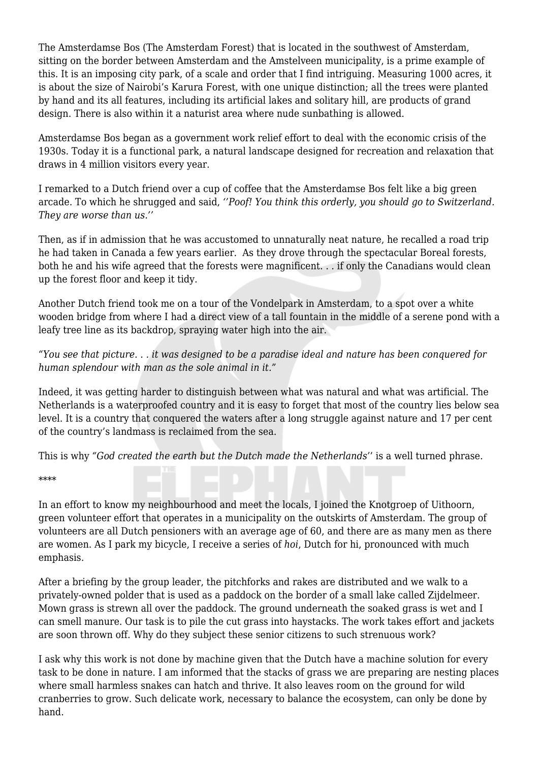The Amsterdamse Bos (The Amsterdam Forest) that is located in the southwest of Amsterdam, sitting on the border between Amsterdam and the Amstelveen municipality, is a prime example of this. It is an imposing city park, of a scale and order that I find intriguing. Measuring 1000 acres, it is about the size of Nairobi's Karura Forest, with one unique distinction; all the trees were planted by hand and its all features, including its artificial lakes and solitary hill, are products of grand design. There is also within it a naturist area where nude sunbathing is allowed.

Amsterdamse Bos began as a government work relief effort to deal with the economic crisis of the 1930s. Today it is a functional park, a natural landscape designed for recreation and relaxation that draws in 4 million visitors every year.

I remarked to a Dutch friend over a cup of coffee that the Amsterdamse Bos felt like a big green arcade. To which he shrugged and said, *''Poof! You think this orderly, you should go to Switzerland. They are worse than us.''*

Then, as if in admission that he was accustomed to unnaturally neat nature, he recalled a road trip he had taken in Canada a few years earlier. As they drove through the spectacular Boreal forests, both he and his wife agreed that the forests were magnificent. . . if only the Canadians would clean up the forest floor and keep it tidy.

Another Dutch friend took me on a tour of the Vondelpark in Amsterdam, to a spot over a white wooden bridge from where I had a direct view of a tall fountain in the middle of a serene pond with a leafy tree line as its backdrop, spraying water high into the air.

*"You see that picture. . . it was designed to be a paradise ideal and nature has been conquered for human splendour with man as the sole animal in it."*

Indeed, it was getting harder to distinguish between what was natural and what was artificial. The Netherlands is a waterproofed country and it is easy to forget that most of the country lies below sea level. It is a country that conquered the waters after a long struggle against nature and 17 per cent of the country's landmass is reclaimed from the sea.

This is why *"God created the earth but the Dutch made the Netherlands'*' is a well turned phrase.

\*\*\*\*

In an effort to know my neighbourhood and meet the locals, I joined the Knotgroep of Uithoorn, green volunteer effort that operates in a municipality on the outskirts of Amsterdam. The group of volunteers are all Dutch pensioners with an average age of 60, and there are as many men as there are women. As I park my bicycle, I receive a series of *hoi*, Dutch for hi, pronounced with much emphasis.

After a briefing by the group leader, the pitchforks and rakes are distributed and we walk to a privately-owned polder that is used as a paddock on the border of a small lake called Zijdelmeer. Mown grass is strewn all over the paddock. The ground underneath the soaked grass is wet and I can smell manure. Our task is to pile the cut grass into haystacks. The work takes effort and jackets are soon thrown off. Why do they subject these senior citizens to such strenuous work?

I ask why this work is not done by machine given that the Dutch have a machine solution for every task to be done in nature. I am informed that the stacks of grass we are preparing are nesting places where small harmless snakes can hatch and thrive. It also leaves room on the ground for wild cranberries to grow. Such delicate work, necessary to balance the ecosystem, can only be done by hand.